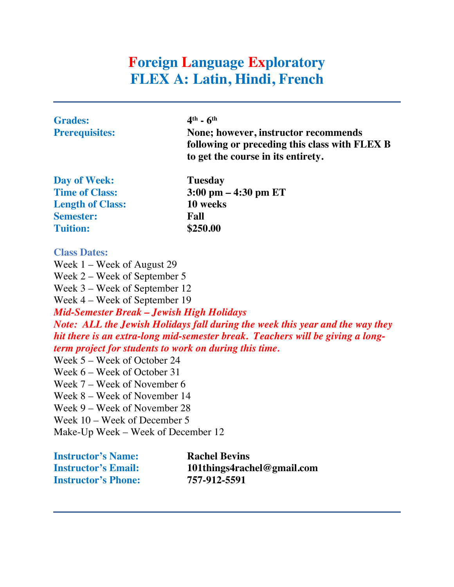# **Foreign Language Exploratory FLEX A: Latin, Hindi, French**

| <b>Grades:</b>          | $4^{th}$ - $6^{th}$                            |
|-------------------------|------------------------------------------------|
| <b>Prerequisites:</b>   | None; however, instructor recommends           |
|                         | following or preceding this class with FLEX B  |
|                         | to get the course in its entirety.             |
| Day of Week:            | <b>Tuesday</b>                                 |
| <b>Time of Class:</b>   | $3:00 \text{ pm} - 4:30 \text{ pm} \text{ ET}$ |
| <b>Length of Class:</b> | 10 weeks                                       |
| <b>Semester:</b>        | Fall                                           |
| <b>Tuition:</b>         | \$250.00                                       |

#### **Class Dates:**

Week 1 – Week of August 29 Week 2 – Week of September 5 Week 3 – Week of September 12 Week 4 – Week of September 19 *Mid-Semester Break – Jewish High Holidays Note: ALL the Jewish Holidays fall during the week this year and the way they hit there is an extra-long mid-semester break. Teachers will be giving a longterm project for students to work on during this time.* Week 5 – Week of October 24 Week 6 – Week of October 31 Week 7 – Week of November 6 Week 8 – Week of November 14 Week 9 – Week of November 28 Week 10 – Week of December 5 Make-Up Week – Week of December 12

**Instructor's Name: Rachel Bevins Instructor's Email: 101things4rachel@gmail.com Instructor's Phone: 757-912-5591**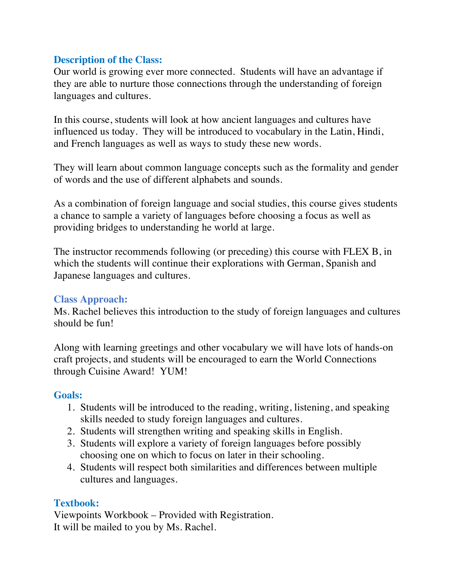### **Description of the Class:**

Our world is growing ever more connected. Students will have an advantage if they are able to nurture those connections through the understanding of foreign languages and cultures.

In this course, students will look at how ancient languages and cultures have influenced us today. They will be introduced to vocabulary in the Latin, Hindi, and French languages as well as ways to study these new words.

They will learn about common language concepts such as the formality and gender of words and the use of different alphabets and sounds.

As a combination of foreign language and social studies, this course gives students a chance to sample a variety of languages before choosing a focus as well as providing bridges to understanding he world at large.

The instructor recommends following (or preceding) this course with FLEX B, in which the students will continue their explorations with German, Spanish and Japanese languages and cultures.

#### **Class Approach:**

Ms. Rachel believes this introduction to the study of foreign languages and cultures should be fun!

Along with learning greetings and other vocabulary we will have lots of hands-on craft projects, and students will be encouraged to earn the World Connections through Cuisine Award! YUM!

#### **Goals:**

- 1. Students will be introduced to the reading, writing, listening, and speaking skills needed to study foreign languages and cultures.
- 2. Students will strengthen writing and speaking skills in English.
- 3. Students will explore a variety of foreign languages before possibly choosing one on which to focus on later in their schooling.
- 4. Students will respect both similarities and differences between multiple cultures and languages.

#### **Textbook:**

Viewpoints Workbook – Provided with Registration. It will be mailed to you by Ms. Rachel.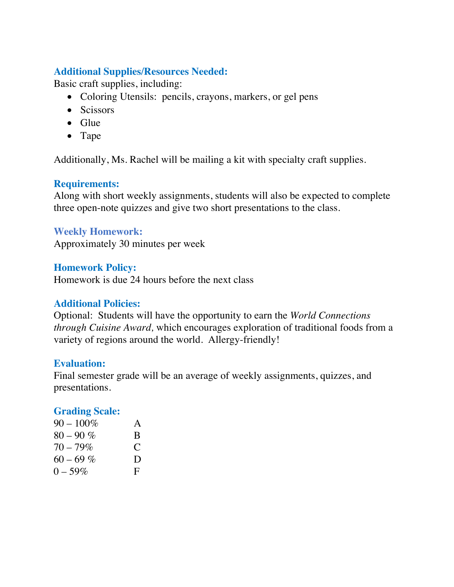### **Additional Supplies/Resources Needed:**

Basic craft supplies, including:

- Coloring Utensils: pencils, crayons, markers, or gel pens
- Scissors
- Glue
- Tape

Additionally, Ms. Rachel will be mailing a kit with specialty craft supplies.

#### **Requirements:**

Along with short weekly assignments, students will also be expected to complete three open-note quizzes and give two short presentations to the class.

#### **Weekly Homework:**

Approximately 30 minutes per week

#### **Homework Policy:**

Homework is due 24 hours before the next class

#### **Additional Policies:**

Optional: Students will have the opportunity to earn the *World Connections through Cuisine Award,* which encourages exploration of traditional foods from a variety of regions around the world. Allergy-friendly!

#### **Evaluation:**

Final semester grade will be an average of weekly assignments, quizzes, and presentations.

#### **Grading Scale:**

| $90 - 100\%$ | A |
|--------------|---|
| $80 - 90\%$  | B |
| $70 - 79\%$  | € |
| $60 - 69\%$  | D |
| $0 - 59\%$   | E |